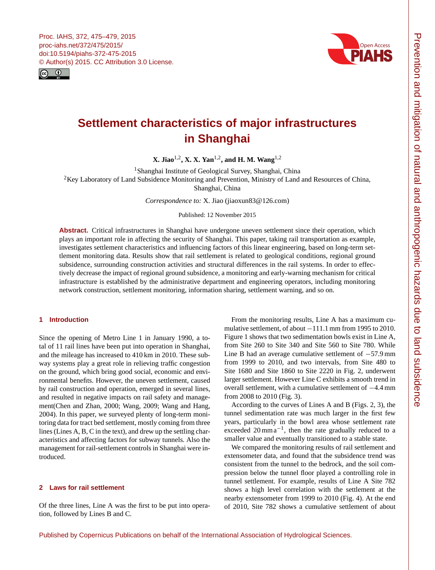<span id="page-0-1"></span>



# **Settlement characteristics of major infrastructures in Shanghai**

**X. Jiao**[1,2](#page-0-0) **, X. X. Yan**[1,2](#page-0-0) **, and H. M. Wang**[1,2](#page-0-0)

<sup>1</sup> Shanghai Institute of Geological Survey, Shanghai, China

<sup>2</sup>Key Laboratory of Land Subsidence Monitoring and Prevention, Ministry of Land and Resources of China, Shanghai, China

*Correspondence to:* X. Jiao (jiaoxun83@126.com)

Published: 12 November 2015

**Abstract.** Critical infrastructures in Shanghai have undergone uneven settlement since their operation, which plays an important role in affecting the security of Shanghai. This paper, taking rail transportation as example, investigates settlement characteristics and influencing factors of this linear engineering, based on long-term settlement monitoring data. Results show that rail settlement is related to geological conditions, regional ground subsidence, surrounding construction activities and structural differences in the rail systems. In order to effectively decrease the impact of regional ground subsidence, a monitoring and early-warning mechanism for critical infrastructure is established by the administrative department and engineering operators, including monitoring network construction, settlement monitoring, information sharing, settlement warning, and so on.

# <span id="page-0-0"></span>**1 Introduction**

Since the opening of Metro Line 1 in January 1990, a total of 11 rail lines have been put into operation in Shanghai, and the mileage has increased to 410 km in 2010. These subway systems play a great role in relieving traffic congestion on the ground, which bring good social, economic and environmental benefits. However, the uneven settlement, caused by rail construction and operation, emerged in several lines, and resulted in negative impacts on rail safety and management(Chen and Zhan, 2000; Wang, 2009; Wang and Hang, 2004). In this paper, we surveyed plenty of long-term monitoring data for tract bed settlement, mostly coming from three lines (Lines A, B, C in the text), and drew up the settling characteristics and affecting factors for subway tunnels. Also the management for rail-settlement controls in Shanghai were introduced.

## **2 Laws for rail settlement**

Of the three lines, Line A was the first to be put into operation, followed by Lines B and C.

From the monitoring results, Line A has a maximum cumulative settlement, of about −111.1 mm from 1995 to 2010. Figure 1 shows that two sedimentation bowls exist in Line A, from Site 260 to Site 340 and Site 560 to Site 780. While Line B had an average cumulative settlement of −57.9 mm from 1999 to 2010, and two intervals, from Site 480 to Site 1680 and Site 1860 to Site 2220 in Fig. 2, underwent larger settlement. However Line C exhibits a smooth trend in overall settlement, with a cumulative settlement of −4.4 mm from 2008 to 2010 (Fig. 3).

According to the curves of Lines A and B (Figs. 2, 3), the tunnel sedimentation rate was much larger in the first few years, particularly in the bowl area whose settlement rate exceeded  $20 \text{ mm} \text{a}^{-1}$ , then the rate gradually reduced to a smaller value and eventually transitioned to a stable state.

We compared the monitoring results of rail settlement and extensometer data, and found that the subsidence trend was consistent from the tunnel to the bedrock, and the soil compression below the tunnel floor played a controlling role in tunnel settlement. For example, results of Line A Site 782 shows a high level correlation with the settlement at the nearby extensometer from 1999 to 2010 (Fig. 4). At the end of 2010, Site 782 shows a cumulative settlement of about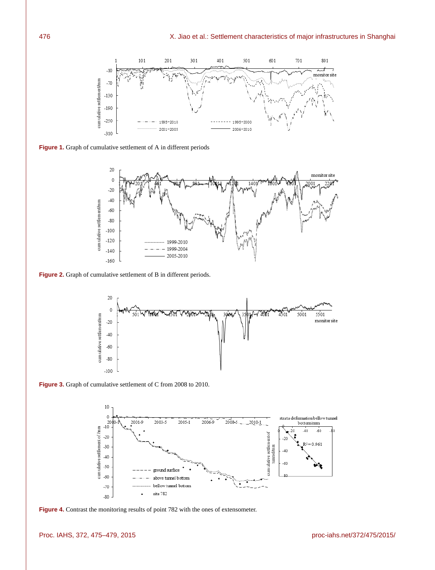

**Figure 1.** Graph of cumulative settlement of A in different periods



**Figure 2.** Graph of cumulative settlement of B in different periods.







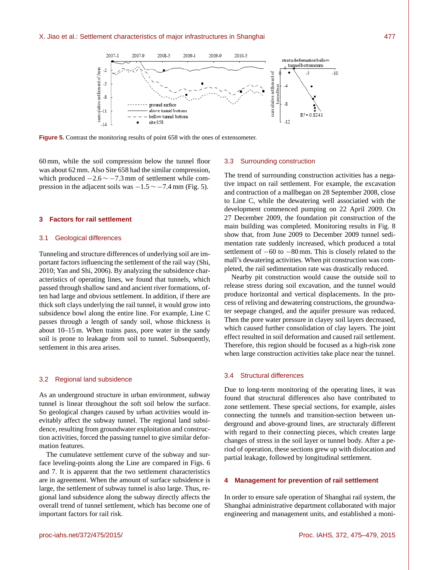

**Figure 5.** Contrast the monitoring results of point 658 with the ones of extensometer.

60 mm, while the soil compression below the tunnel floor was about 62 mm. Also Site 658 had the similar compression, which produced  $-2.6 \sim -7.3$  mm of settlement while compression in the adjacent soils was  $-1.5 \sim -7.4$  mm (Fig. 5).

#### **3 Factors for rail settlement**

#### 3.1 Geological differences

Tunneling and structure differences of underlying soil are important factors influencing the settlement of the rail way (Shi, 2010; Yan and Shi, 2006). By analyzing the subsidence characteristics of operating lines, we found that tunnels, which passed through shallow sand and ancient river formations, often had large and obvious settlement. In addition, if there are thick soft clays underlying the rail tunnel, it would grow into subsidence bowl along the entire line. For example, Line C passes through a length of sandy soil, whose thickness is about 10–15 m. When trains pass, pore water in the sandy soil is prone to leakage from soil to tunnel. Subsequently, settlement in this area arises.

#### 3.2 Regional land subsidence

As an underground structure in urban environment, subway tunnel is linear throughout the soft soil below the surface. So geological changes caused by urban activities would inevitably affect the subway tunnel. The regional land subsidence, resulting from groundwater exploitation and construction activities, forced the passing tunnel to give similar deformation features.

The cumulateve settlement curve of the subway and surface leveling-points along the Line are compared in Figs. 6 and 7. It is apparent that the two settlement characteristics are in agreement. When the amount of surface subsidence is large, the settlement of subway tunnel is also large. Thus, regional land subsidence along the subway directly affects the overall trend of tunnel settlement, which has become one of important factors for rail risk.

#### 3.3 Surrounding construction

The trend of surrounding construction activities has a negative impact on rail settlement. For example, the excavation and contruction of a mallbegan on 28 September 2008, close to Line C, while the dewatering well associatied with the development commenced pumping on 22 April 2009. On 27 December 2009, the foundation pit construction of the main building was completed. Monitoring results in Fig. 8 show that, from June 2009 to December 2009 tunnel sedimentation rate suddenly increased, which produced a total settlement of  $-60$  to  $-80$  mm. This is closely related to the mall's dewatering activities. When pit construction was completed, the rail sedimentation rate was drastically reduced.

Nearby pit construction would cause the outside soil to release stress during soil excavation, and the tunnel would produce horizontal and vertical displacements. In the process of reliving and dewatering constructions, the groundwater seepage changed, and the aquifer pressure was reduced. Then the pore water pressure in clayey soil layers decreased, which caused further consolidation of clay layers. The joint effect resulted in soil deformation and caused rail settlement. Therefore, this region should be focused as a high-risk zone when large construction activities take place near the tunnel.

## 3.4 Structural differences

Due to long-term monitoring of the operating lines, it was found that structural differences also have contributed to zone settlement. These special sections, for example, aisles connecting the tunnels and transition-section between underground and above-ground lines, are structuraly different with regard to their connecting pieces, which creates large changes of stress in the soil layer or tunnel body. After a period of operation, these sections grew up with dislocation and partial leakage, followed by longitudinal settlement.

## **4 Management for prevention of rail settlement**

In order to ensure safe operation of Shanghai rail system, the Shanghai administrative department collaborated with major engineering and management units, and established a moni-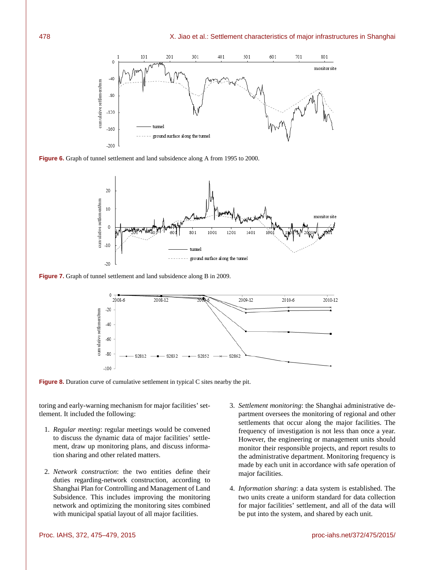

**Figure 6.** Graph of tunnel settlement and land subsidence along A from 1995 to 2000.



**Figure 7.** Graph of tunnel settlement and land subsidence along B in 2009.



**Figure 8.** Duration curve of cumulative settlement in typical C sites nearby the pit.

toring and early-warning mechanism for major facilities' settlement. It included the following:

- 1. *Regular meeting*: regular meetings would be convened to discuss the dynamic data of major facilities' settlement, draw up monitoring plans, and discuss information sharing and other related matters.
- 2. *Network construction*: the two entities define their duties regarding-network construction, according to Shanghai Plan for Controlling and Management of Land Subsidence. This includes improving the monitoring network and optimizing the monitoring sites combined with municipal spatial layout of all major facilities.
- 3. *Settlement monitoring*: the Shanghai administrative department oversees the monitoring of regional and other settlements that occur along the major facilities. The frequency of investigation is not less than once a year. However, the engineering or management units should monitor their responsible projects, and report results to the administrative department. Monitoring frequency is made by each unit in accordance with safe operation of major facilities.
- 4. *Information sharing*: a data system is established. The two units create a uniform standard for data collection for major facilities' settlement, and all of the data will be put into the system, and shared by each unit.